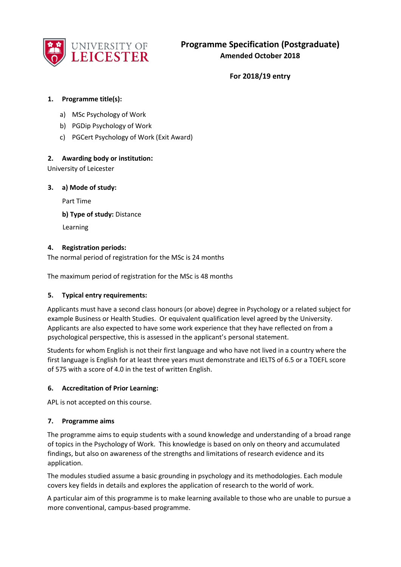

**For 2018/19 entry** 

# **1. Programme title(s):**

- a) MSc Psychology of Work
- b) PGDip Psychology of Work
- c) PGCert Psychology of Work (Exit Award)

# **2. Awarding body or institution:**

University of Leicester

**3. a) Mode of study:**

Part Time

**b) Type of study:** Distance

Learning

# **4. Registration periods:**

The normal period of registration for the MSc is 24 months

The maximum period of registration for the MSc is 48 months

#### **5. Typical entry requirements:**

Applicants must have a second class honours (or above) degree in Psychology or a related subject for example Business or Health Studies. Or equivalent qualification level agreed by the University. Applicants are also expected to have some work experience that they have reflected on from a psychological perspective, this is assessed in the applicant's personal statement.

Students for whom English is not their first language and who have not lived in a country where the first language is English for at least three years must demonstrate and IELTS of 6.5 or a TOEFL score of 575 with a score of 4.0 in the test of written English.

# **6. Accreditation of Prior Learning:**

APL is not accepted on this course.

#### **7. Programme aims**

The programme aims to equip students with a sound knowledge and understanding of a broad range of topics in the Psychology of Work. This knowledge is based on only on theory and accumulated findings, but also on awareness of the strengths and limitations of research evidence and its application.

The modules studied assume a basic grounding in psychology and its methodologies. Each module covers key fields in details and explores the application of research to the world of work.

A particular aim of this programme is to make learning available to those who are unable to pursue a more conventional, campus-based programme.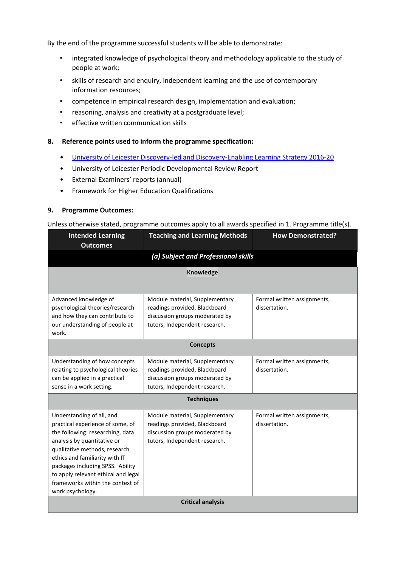By the end of the programme successful students will be able to demonstrate:

- integrated knowledge of psychological theory and methodology applicable to the study of people at work;
- skills of research and enquiry, independent learning and the use of contemporary information resources;
- competence in empirical research design, implementation and evaluation;
- reasoning, analysis and creativity at a postgraduate level;
- effective written communication skills

#### **8. Reference points used to inform the programme specification:**

- [University of Leicester Discovery-led and Discovery-Enabling Learning Strategy 2016-20](http://www2.le.ac.uk/offices/sas2/quality/learnteach)
- University of Leicester Periodic Developmental Review Report
- External Examiners' reports (annual)
- Framework for Higher Education Qualifications

#### **9. Programme Outcomes:**

#### Unless otherwise stated, programme outcomes apply to all awards specified in 1. Programme title(s).

| <b>Intended Learning</b><br><b>Outcomes</b>                                                                                                                                                                                                                                                                                            | <b>Teaching and Learning Methods</b>                                                                                               | <b>How Demonstrated?</b>                     |  |  |  |
|----------------------------------------------------------------------------------------------------------------------------------------------------------------------------------------------------------------------------------------------------------------------------------------------------------------------------------------|------------------------------------------------------------------------------------------------------------------------------------|----------------------------------------------|--|--|--|
| (a) Subject and Professional skills                                                                                                                                                                                                                                                                                                    |                                                                                                                                    |                                              |  |  |  |
| <b>Knowledge</b>                                                                                                                                                                                                                                                                                                                       |                                                                                                                                    |                                              |  |  |  |
|                                                                                                                                                                                                                                                                                                                                        |                                                                                                                                    |                                              |  |  |  |
| Advanced knowledge of<br>psychological theories/research<br>and how they can contribute to<br>our understanding of people at<br>work.                                                                                                                                                                                                  | Module material, Supplementary<br>readings provided, Blackboard<br>discussion groups moderated by<br>tutors, Independent research. | Formal written assignments,<br>dissertation. |  |  |  |
| <b>Concepts</b>                                                                                                                                                                                                                                                                                                                        |                                                                                                                                    |                                              |  |  |  |
| Understanding of how concepts<br>relating to psychological theories<br>can be applied in a practical<br>sense in a work setting.                                                                                                                                                                                                       | Module material, Supplementary<br>readings provided, Blackboard<br>discussion groups moderated by<br>tutors, Independent research. | Formal written assignments,<br>dissertation. |  |  |  |
| <b>Techniques</b>                                                                                                                                                                                                                                                                                                                      |                                                                                                                                    |                                              |  |  |  |
| Understanding of all, and<br>practical experience of some, of<br>the following: researching, data<br>analysis by quantitative or<br>qualitative methods, research<br>ethics and familiarity with IT<br>packages including SPSS. Ability<br>to apply relevant ethical and legal<br>frameworks within the context of<br>work psychology. | Module material, Supplementary<br>readings provided, Blackboard<br>discussion groups moderated by<br>tutors, Independent research. | Formal written assignments,<br>dissertation. |  |  |  |
| <b>Critical analysis</b>                                                                                                                                                                                                                                                                                                               |                                                                                                                                    |                                              |  |  |  |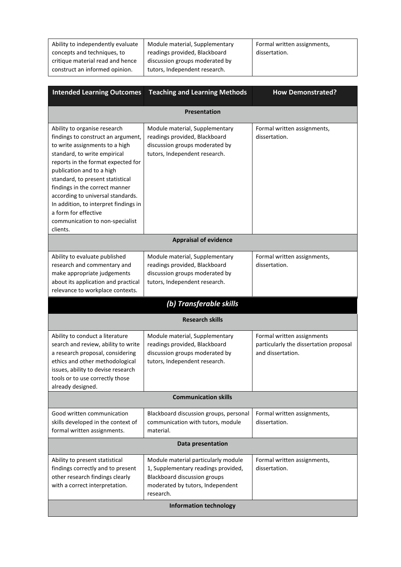| Ability to independently evaluate | Module material, Supplementary | Formal written assignments, |
|-----------------------------------|--------------------------------|-----------------------------|
| concepts and techniques, to       | readings provided, Blackboard  | dissertation.               |
| critique material read and hence  | discussion groups moderated by |                             |
| construct an informed opinion.    | tutors, Independent research.  |                             |
|                                   |                                |                             |

| <b>Intended Learning Outcomes</b>                                                                                                                                                                                                                                                                                                                                                                                                  | <b>Teaching and Learning Methods</b>                                                                                                                               | <b>How Demonstrated?</b>                                                                  |  |  |  |
|------------------------------------------------------------------------------------------------------------------------------------------------------------------------------------------------------------------------------------------------------------------------------------------------------------------------------------------------------------------------------------------------------------------------------------|--------------------------------------------------------------------------------------------------------------------------------------------------------------------|-------------------------------------------------------------------------------------------|--|--|--|
| <b>Presentation</b>                                                                                                                                                                                                                                                                                                                                                                                                                |                                                                                                                                                                    |                                                                                           |  |  |  |
| Ability to organise research<br>findings to construct an argument,<br>to write assignments to a high<br>standard, to write empirical<br>reports in the format expected for<br>publication and to a high<br>standard, to present statistical<br>findings in the correct manner<br>according to universal standards.<br>In addition, to interpret findings in<br>a form for effective<br>communication to non-specialist<br>clients. | Module material, Supplementary<br>readings provided, Blackboard<br>discussion groups moderated by<br>tutors, Independent research.                                 | Formal written assignments,<br>dissertation.                                              |  |  |  |
|                                                                                                                                                                                                                                                                                                                                                                                                                                    | <b>Appraisal of evidence</b>                                                                                                                                       |                                                                                           |  |  |  |
| Ability to evaluate published<br>research and commentary and<br>make appropriate judgements<br>about its application and practical<br>relevance to workplace contexts.                                                                                                                                                                                                                                                             | Module material, Supplementary<br>readings provided, Blackboard<br>discussion groups moderated by<br>tutors, Independent research.                                 | Formal written assignments,<br>dissertation.                                              |  |  |  |
|                                                                                                                                                                                                                                                                                                                                                                                                                                    | (b) Transferable skills                                                                                                                                            |                                                                                           |  |  |  |
|                                                                                                                                                                                                                                                                                                                                                                                                                                    | <b>Research skills</b>                                                                                                                                             |                                                                                           |  |  |  |
| Ability to conduct a literature<br>search and review, ability to write<br>a research proposal, considering<br>ethics and other methodological<br>issues, ability to devise research<br>tools or to use correctly those<br>already designed.                                                                                                                                                                                        | Module material, Supplementary<br>readings provided, Blackboard<br>discussion groups moderated by<br>tutors, Independent research.                                 | Formal written assignments<br>particularly the dissertation proposal<br>and dissertation. |  |  |  |
| <b>Communication skills</b>                                                                                                                                                                                                                                                                                                                                                                                                        |                                                                                                                                                                    |                                                                                           |  |  |  |
| Good written communication<br>skills developed in the context of<br>formal written assignments.                                                                                                                                                                                                                                                                                                                                    | Blackboard discussion groups, personal<br>communication with tutors, module<br>material.                                                                           | Formal written assignments,<br>dissertation.                                              |  |  |  |
| Data presentation                                                                                                                                                                                                                                                                                                                                                                                                                  |                                                                                                                                                                    |                                                                                           |  |  |  |
| Ability to present statistical<br>findings correctly and to present<br>other research findings clearly<br>with a correct interpretation.                                                                                                                                                                                                                                                                                           | Module material particularly module<br>1, Supplementary readings provided,<br><b>Blackboard discussion groups</b><br>moderated by tutors, Independent<br>research. | Formal written assignments,<br>dissertation.                                              |  |  |  |
| <b>Information technology</b>                                                                                                                                                                                                                                                                                                                                                                                                      |                                                                                                                                                                    |                                                                                           |  |  |  |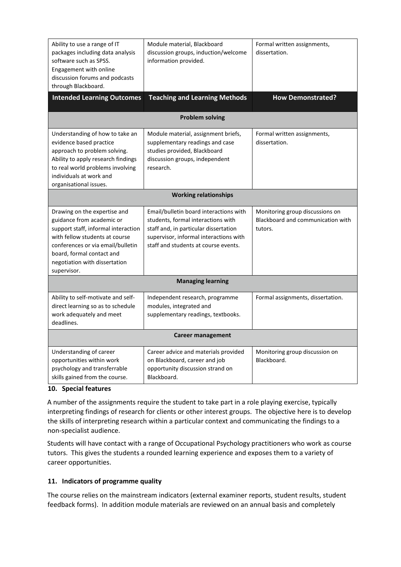| Ability to use a range of IT<br>packages including data analysis<br>software such as SPSS.<br>Engagement with online<br>discussion forums and podcasts<br>through Blackboard.                                                                        | Module material, Blackboard<br>discussion groups, induction/welcome<br>information provided.                                                                                                            | Formal written assignments,<br>dissertation.                                    |  |  |  |
|------------------------------------------------------------------------------------------------------------------------------------------------------------------------------------------------------------------------------------------------------|---------------------------------------------------------------------------------------------------------------------------------------------------------------------------------------------------------|---------------------------------------------------------------------------------|--|--|--|
| <b>Intended Learning Outcomes</b>                                                                                                                                                                                                                    | <b>Teaching and Learning Methods</b>                                                                                                                                                                    | <b>How Demonstrated?</b>                                                        |  |  |  |
| <b>Problem solving</b>                                                                                                                                                                                                                               |                                                                                                                                                                                                         |                                                                                 |  |  |  |
| Understanding of how to take an<br>evidence based practice<br>approach to problem solving.<br>Ability to apply research findings<br>to real world problems involving<br>individuals at work and<br>organisational issues.                            | Module material, assignment briefs,<br>supplementary readings and case<br>studies provided, Blackboard<br>discussion groups, independent<br>research.                                                   | Formal written assignments,<br>dissertation.                                    |  |  |  |
| <b>Working relationships</b>                                                                                                                                                                                                                         |                                                                                                                                                                                                         |                                                                                 |  |  |  |
| Drawing on the expertise and<br>guidance from academic or<br>support staff, informal interaction<br>with fellow students at course<br>conferences or via email/bulletin<br>board, formal contact and<br>negotiation with dissertation<br>supervisor. | Email/bulletin board interactions with<br>students, formal interactions with<br>staff and, in particular dissertation<br>supervisor, informal interactions with<br>staff and students at course events. | Monitoring group discussions on<br>Blackboard and communication with<br>tutors. |  |  |  |
| <b>Managing learning</b>                                                                                                                                                                                                                             |                                                                                                                                                                                                         |                                                                                 |  |  |  |
| Ability to self-motivate and self-<br>direct learning so as to schedule<br>work adequately and meet<br>deadlines.                                                                                                                                    | Independent research, programme<br>modules, integrated and<br>supplementary readings, textbooks.                                                                                                        | Formal assignments, dissertation.                                               |  |  |  |
| Career management                                                                                                                                                                                                                                    |                                                                                                                                                                                                         |                                                                                 |  |  |  |
| Understanding of career<br>opportunities within work<br>psychology and transferrable<br>skills gained from the course.                                                                                                                               | Career advice and materials provided<br>on Blackboard, career and job<br>opportunity discussion strand on<br>Blackboard.                                                                                | Monitoring group discussion on<br>Blackboard.                                   |  |  |  |

# **10. Special features**

A number of the assignments require the student to take part in a role playing exercise, typically interpreting findings of research for clients or other interest groups. The objective here is to develop the skills of interpreting research within a particular context and communicating the findings to a non-specialist audience.

Students will have contact with a range of Occupational Psychology practitioners who work as course tutors. This gives the students a rounded learning experience and exposes them to a variety of career opportunities.

# **11. Indicators of programme quality**

The course relies on the mainstream indicators (external examiner reports, student results, student feedback forms). In addition module materials are reviewed on an annual basis and completely